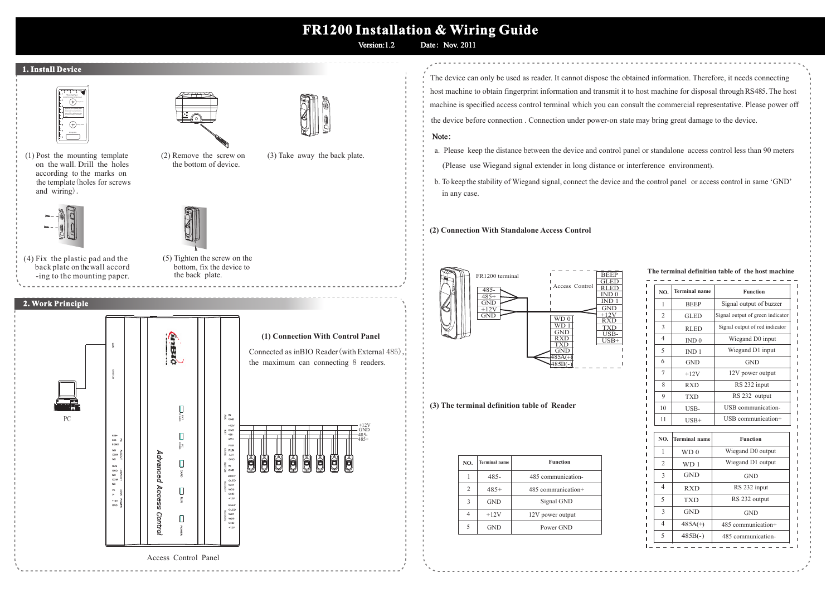# **FR1200 Installation & Wiring Guide**

Version:1.2 Date: Nov. 2011

#### **1. Install Device**



(1) Post the mounting template on the wall.Drill the holes according to the marks on the template (holes for screws and wiring).



back plate on thewall accord (4) Fix the plastic pad and the -ing to the mounting paper.

### **2. Work Principle**











(5) Tighten the screw on the bottom, fix the device to the back plate.



The device can only be used as reader. It cannot dispose the obtained information. Therefore, it needs connecting host machine to obtain fingerprint information and transmit it to host machine for disposal through RS485.The host machine is specified access control terminal which you can consult the commercial representative. Please power off the device before connection . Connection under power-on state may bring great damage to the device.

#### Note:

- a. Please keep the distance between the device and control panel or standalone access control less than 90 meters
- (Please use Wiegand signal extender in long distance or interference environment).
- b. To keep the stability of Wiegand signal, connect the device and the control panel or access control in same 'GND' in any case.

#### **(2) Connection With Standalone Access Control**



 **(3) The terminal definition table of Reader**

| NO.            | <b>Terminal</b> name | <b>Function</b>    |
|----------------|----------------------|--------------------|
|                | $485 -$              | 485 communication- |
| $\overline{c}$ | $485+$               | 485 communication+ |
| $\mathbf{3}$   | <b>GND</b>           | Signal GND         |
|                | $+12V$               | 12V power output   |
| 5              | <b>GND</b>           | Power GND          |

**The terminal definition table of the host machine**

| NO.              | <b>Terminal</b> name | <b>Function</b>                  |
|------------------|----------------------|----------------------------------|
| 1                | <b>BEEP</b>          | Signal output of buzzer          |
| $\overline{c}$   | <b>GLED</b>          | Signal output of green indicator |
| 3                | <b>RLED</b>          | Signal output of red indicator   |
| 4                | IND 0                | Wiegand D0 input                 |
| $\varsigma$      | IND <sub>1</sub>     | Wiegand D1 input                 |
| 6                | <b>GND</b>           | <b>GND</b>                       |
| 7                | $+12V$               | 12V power output                 |
| $\boldsymbol{8}$ | <b>RXD</b>           | RS 232 input                     |
| $\mathbf Q$      | <b>TXD</b>           | RS 232 output                    |
| 10               | USB-                 | USB communication-               |
| 11               | $USB+$               | USB communication+               |
| NO.              | <b>Terminal</b> name | <b>Function</b>                  |
| 1                | WD <sub>0</sub>      | Wiegand D0 output                |
| $\overline{c}$   | WD <sub>1</sub>      | Wiegand D1 output                |
| 3                | <b>GND</b>           | <b>GND</b>                       |
| 4                | <b>RXD</b>           | RS 232 input                     |
| 5                | <b>TXD</b>           | RS 232 output                    |
| 3                | <b>GND</b>           | <b>GND</b>                       |
| $\overline{4}$   | $485A(+)$            | 485 communication+               |
| 5                | $485B(-)$            | 485 communication-               |